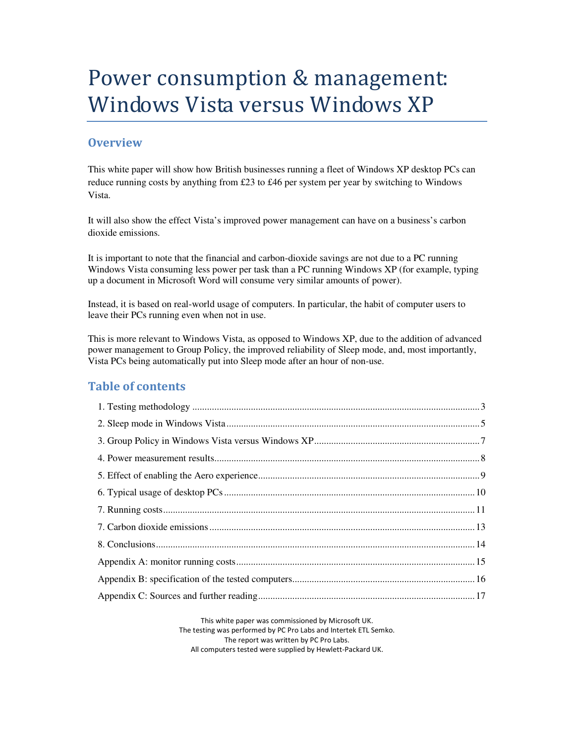# Power consumption & management: Windows Vista versus Windows XP

### **Overview**

This white paper will show how British businesses running a fleet of Windows XP desktop PCs can reduce running costs by anything from £23 to £46 per system per year by switching to Windows Vista.

It will also show the effect Vista's improved power management can have on a business's carbon dioxide emissions.

It is important to note that the financial and carbon-dioxide savings are not due to a PC running Windows Vista consuming less power per task than a PC running Windows XP (for example, typing up a document in Microsoft Word will consume very similar amounts of power).

Instead, it is based on real-world usage of computers. In particular, the habit of computer users to leave their PCs running even when not in use.

This is more relevant to Windows Vista, as opposed to Windows XP, due to the addition of advanced power management to Group Policy, the improved reliability of Sleep mode, and, most importantly, Vista PCs being automatically put into Sleep mode after an hour of non-use.

### Table of contents

This white paper was commissioned by Microsoft UK. The testing was performed by PC Pro Labs and Intertek ETL Semko. The report was written by PC Pro Labs. All computers tested were supplied by Hewlett-Packard UK.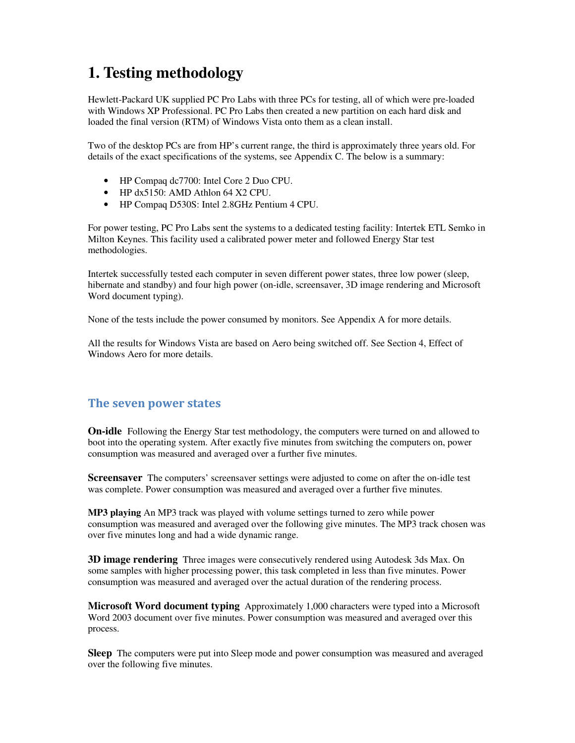# **1. Testing methodology**

Hewlett-Packard UK supplied PC Pro Labs with three PCs for testing, all of which were pre-loaded with Windows XP Professional. PC Pro Labs then created a new partition on each hard disk and loaded the final version (RTM) of Windows Vista onto them as a clean install.

Two of the desktop PCs are from HP's current range, the third is approximately three years old. For details of the exact specifications of the systems, see Appendix C. The below is a summary:

- HP Compaq dc7700: Intel Core 2 Duo CPU.
- HP dx5150: AMD Athlon 64 X2 CPU.
- HP Compaq D530S: Intel 2.8GHz Pentium 4 CPU.

For power testing, PC Pro Labs sent the systems to a dedicated testing facility: Intertek ETL Semko in Milton Keynes. This facility used a calibrated power meter and followed Energy Star test methodologies.

Intertek successfully tested each computer in seven different power states, three low power (sleep, hibernate and standby) and four high power (on-idle, screensaver, 3D image rendering and Microsoft Word document typing).

None of the tests include the power consumed by monitors. See Appendix A for more details.

All the results for Windows Vista are based on Aero being switched off. See Section 4, Effect of Windows Aero for more details.

### The seven power states

**On-idle** Following the Energy Star test methodology, the computers were turned on and allowed to boot into the operating system. After exactly five minutes from switching the computers on, power consumption was measured and averaged over a further five minutes.

**Screensaver** The computers' screensaver settings were adjusted to come on after the on-idle test was complete. Power consumption was measured and averaged over a further five minutes.

**MP3 playing** An MP3 track was played with volume settings turned to zero while power consumption was measured and averaged over the following give minutes. The MP3 track chosen was over five minutes long and had a wide dynamic range.

**3D image rendering** Three images were consecutively rendered using Autodesk 3ds Max. On some samples with higher processing power, this task completed in less than five minutes. Power consumption was measured and averaged over the actual duration of the rendering process.

**Microsoft Word document typing** Approximately 1,000 characters were typed into a Microsoft Word 2003 document over five minutes. Power consumption was measured and averaged over this process.

**Sleep** The computers were put into Sleep mode and power consumption was measured and averaged over the following five minutes.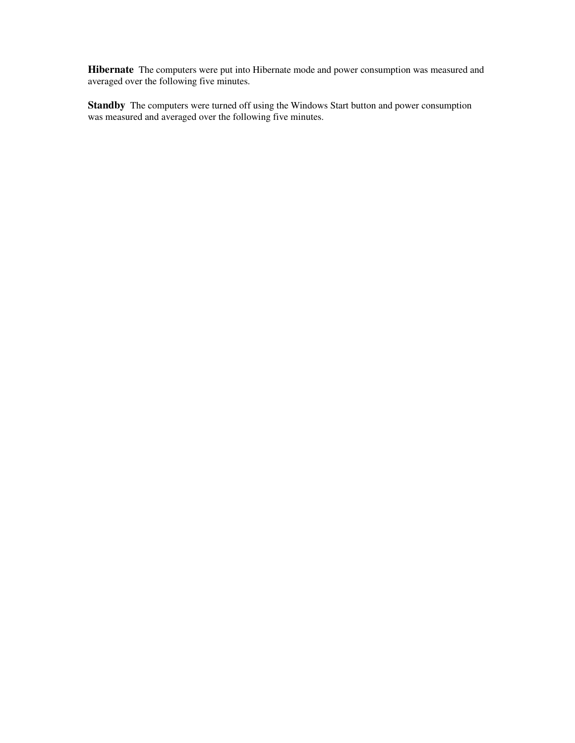**Hibernate** The computers were put into Hibernate mode and power consumption was measured and averaged over the following five minutes.

**Standby** The computers were turned off using the Windows Start button and power consumption was measured and averaged over the following five minutes.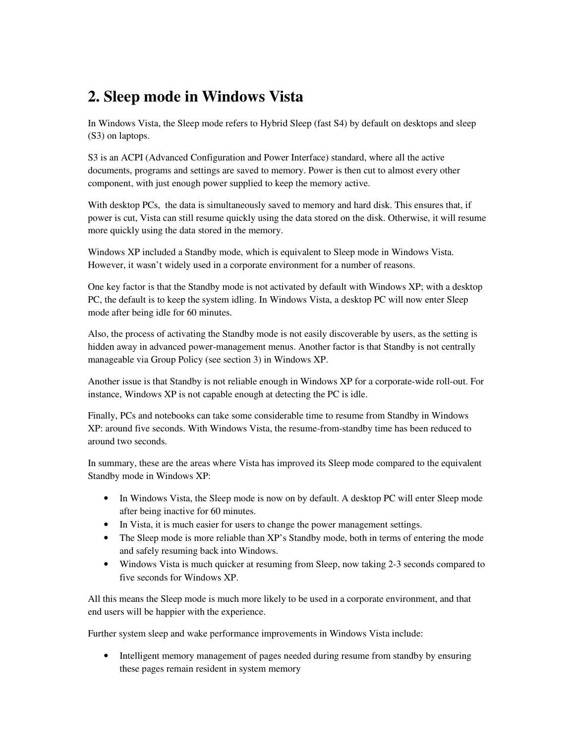### **2. Sleep mode in Windows Vista**

In Windows Vista, the Sleep mode refers to Hybrid Sleep (fast S4) by default on desktops and sleep (S3) on laptops.

S3 is an ACPI (Advanced Configuration and Power Interface) standard, where all the active documents, programs and settings are saved to memory. Power is then cut to almost every other component, with just enough power supplied to keep the memory active.

With desktop PCs, the data is simultaneously saved to memory and hard disk. This ensures that, if power is cut, Vista can still resume quickly using the data stored on the disk. Otherwise, it will resume more quickly using the data stored in the memory.

Windows XP included a Standby mode, which is equivalent to Sleep mode in Windows Vista. However, it wasn't widely used in a corporate environment for a number of reasons.

One key factor is that the Standby mode is not activated by default with Windows XP; with a desktop PC, the default is to keep the system idling. In Windows Vista, a desktop PC will now enter Sleep mode after being idle for 60 minutes.

Also, the process of activating the Standby mode is not easily discoverable by users, as the setting is hidden away in advanced power-management menus. Another factor is that Standby is not centrally manageable via Group Policy (see section 3) in Windows XP.

Another issue is that Standby is not reliable enough in Windows XP for a corporate-wide roll-out. For instance, Windows XP is not capable enough at detecting the PC is idle.

Finally, PCs and notebooks can take some considerable time to resume from Standby in Windows XP: around five seconds. With Windows Vista, the resume-from-standby time has been reduced to around two seconds.

In summary, these are the areas where Vista has improved its Sleep mode compared to the equivalent Standby mode in Windows XP:

- In Windows Vista, the Sleep mode is now on by default. A desktop PC will enter Sleep mode after being inactive for 60 minutes.
- In Vista, it is much easier for users to change the power management settings.
- The Sleep mode is more reliable than XP's Standby mode, both in terms of entering the mode and safely resuming back into Windows.
- Windows Vista is much quicker at resuming from Sleep, now taking 2-3 seconds compared to five seconds for Windows XP.

All this means the Sleep mode is much more likely to be used in a corporate environment, and that end users will be happier with the experience.

Further system sleep and wake performance improvements in Windows Vista include:

• Intelligent memory management of pages needed during resume from standby by ensuring these pages remain resident in system memory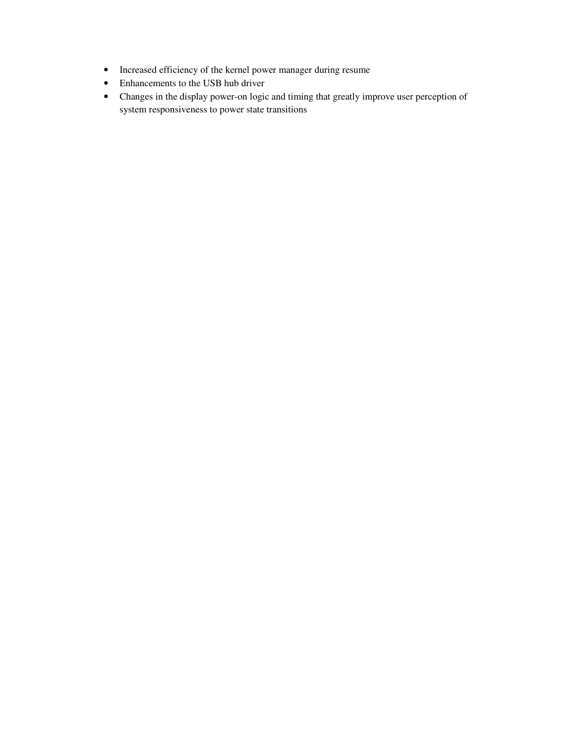- Increased efficiency of the kernel power manager during resume
- Enhancements to the USB hub driver
- Changes in the display power-on logic and timing that greatly improve user perception of system responsiveness to power state transitions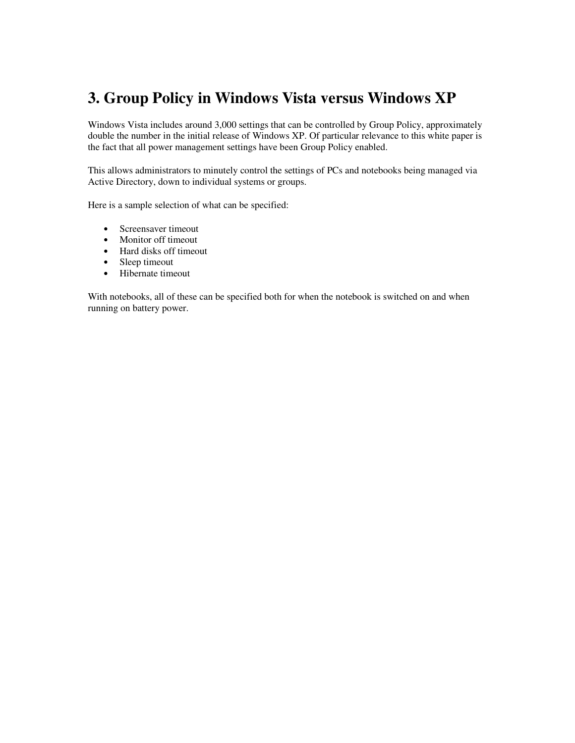# **3. Group Policy in Windows Vista versus Windows XP**

Windows Vista includes around 3,000 settings that can be controlled by Group Policy, approximately double the number in the initial release of Windows XP. Of particular relevance to this white paper is the fact that all power management settings have been Group Policy enabled.

This allows administrators to minutely control the settings of PCs and notebooks being managed via Active Directory, down to individual systems or groups.

Here is a sample selection of what can be specified:

- Screensaver timeout
- Monitor off timeout
- Hard disks off timeout
- Sleep timeout
- Hibernate timeout

With notebooks, all of these can be specified both for when the notebook is switched on and when running on battery power.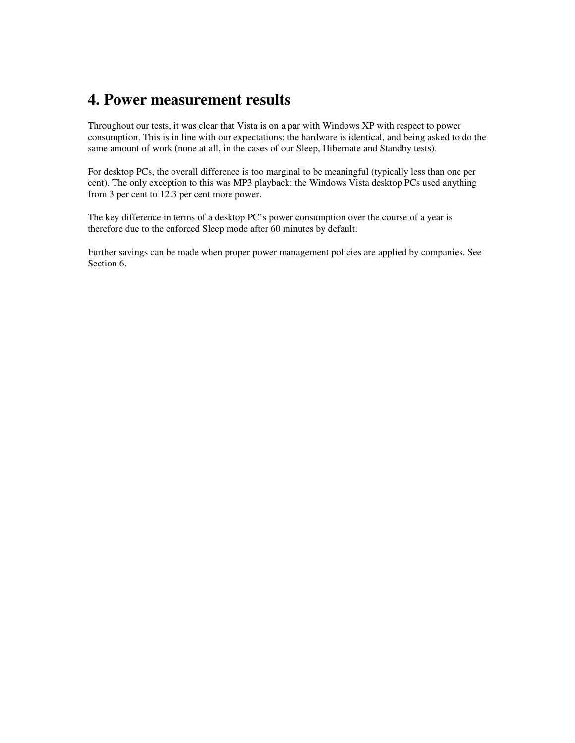### **4. Power measurement results**

Throughout our tests, it was clear that Vista is on a par with Windows XP with respect to power consumption. This is in line with our expectations: the hardware is identical, and being asked to do the same amount of work (none at all, in the cases of our Sleep, Hibernate and Standby tests).

For desktop PCs, the overall difference is too marginal to be meaningful (typically less than one per cent). The only exception to this was MP3 playback: the Windows Vista desktop PCs used anything from 3 per cent to 12.3 per cent more power.

The key difference in terms of a desktop PC's power consumption over the course of a year is therefore due to the enforced Sleep mode after 60 minutes by default.

Further savings can be made when proper power management policies are applied by companies. See Section 6.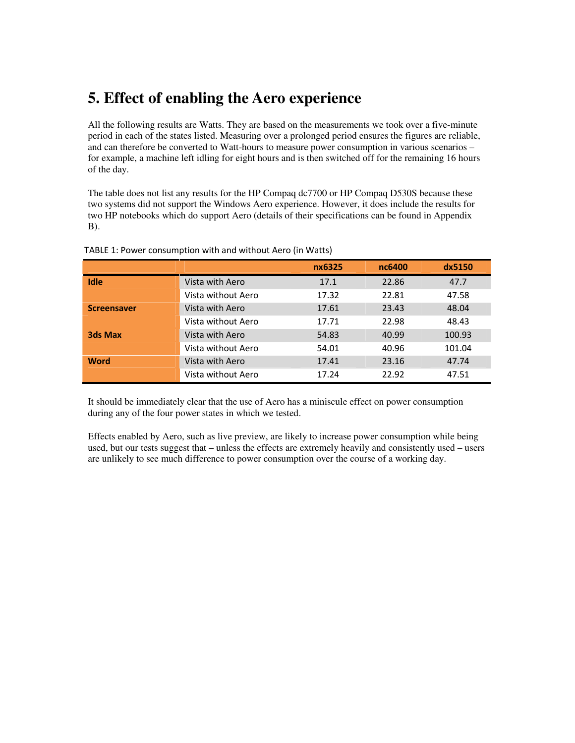### **5. Effect of enabling the Aero experience**

All the following results are Watts. They are based on the measurements we took over a five-minute period in each of the states listed. Measuring over a prolonged period ensures the figures are reliable, and can therefore be converted to Watt-hours to measure power consumption in various scenarios – for example, a machine left idling for eight hours and is then switched off for the remaining 16 hours of the day.

The table does not list any results for the HP Compaq dc7700 or HP Compaq D530S because these two systems did not support the Windows Aero experience. However, it does include the results for two HP notebooks which do support Aero (details of their specifications can be found in Appendix B).

|                    |                    | nx6325 | nc6400 | dx5150 |
|--------------------|--------------------|--------|--------|--------|
| <b>Idle</b>        | Vista with Aero    | 17.1   | 22.86  | 47.7   |
|                    | Vista without Aero | 17.32  | 22.81  | 47.58  |
| <b>Screensaver</b> | Vista with Aero    | 17.61  | 23.43  | 48.04  |
|                    | Vista without Aero | 17.71  | 22.98  | 48.43  |
| <b>3ds Max</b>     | Vista with Aero    | 54.83  | 40.99  | 100.93 |
|                    | Vista without Aero | 54.01  | 40.96  | 101.04 |
| <b>Word</b>        | Vista with Aero    | 17.41  | 23.16  | 47.74  |
|                    | Vista without Aero | 17.24  | 22.92  | 47.51  |

TABLE 1: Power consumption with and without Aero (in Watts)

It should be immediately clear that the use of Aero has a miniscule effect on power consumption during any of the four power states in which we tested.

Effects enabled by Aero, such as live preview, are likely to increase power consumption while being used, but our tests suggest that – unless the effects are extremely heavily and consistently used – users are unlikely to see much difference to power consumption over the course of a working day.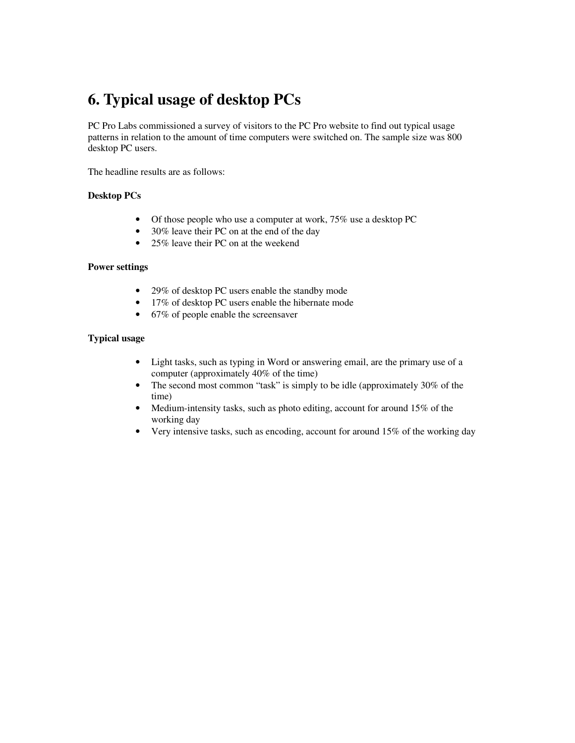### **6. Typical usage of desktop PCs**

PC Pro Labs commissioned a survey of visitors to the PC Pro website to find out typical usage patterns in relation to the amount of time computers were switched on. The sample size was 800 desktop PC users.

The headline results are as follows:

#### **Desktop PCs**

- Of those people who use a computer at work, 75% use a desktop PC
- 30% leave their PC on at the end of the day
- 25% leave their PC on at the weekend

#### **Power settings**

- 29% of desktop PC users enable the standby mode
- 17% of desktop PC users enable the hibernate mode
- 67% of people enable the screensaver

#### **Typical usage**

- Light tasks, such as typing in Word or answering email, are the primary use of a computer (approximately 40% of the time)
- The second most common "task" is simply to be idle (approximately 30% of the time)
- Medium-intensity tasks, such as photo editing, account for around 15% of the working day
- Very intensive tasks, such as encoding, account for around 15% of the working day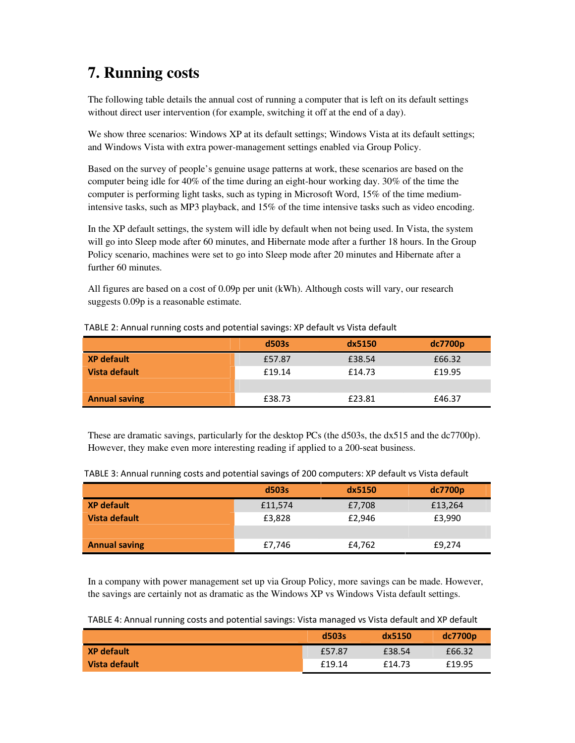# **7. Running costs**

The following table details the annual cost of running a computer that is left on its default settings without direct user intervention (for example, switching it off at the end of a day).

We show three scenarios: Windows XP at its default settings; Windows Vista at its default settings; and Windows Vista with extra power-management settings enabled via Group Policy.

Based on the survey of people's genuine usage patterns at work, these scenarios are based on the computer being idle for 40% of the time during an eight-hour working day. 30% of the time the computer is performing light tasks, such as typing in Microsoft Word, 15% of the time mediumintensive tasks, such as MP3 playback, and 15% of the time intensive tasks such as video encoding.

In the XP default settings, the system will idle by default when not being used. In Vista, the system will go into Sleep mode after 60 minutes, and Hibernate mode after a further 18 hours. In the Group Policy scenario, machines were set to go into Sleep mode after 20 minutes and Hibernate after a further 60 minutes.

All figures are based on a cost of 0.09p per unit (kWh). Although costs will vary, our research suggests 0.09p is a reasonable estimate.

|                      | d503s  | dx5150 | dc7700p |
|----------------------|--------|--------|---------|
| <b>XP default</b>    | £57.87 | £38.54 | £66.32  |
| Vista default        | £19.14 | £14.73 | £19.95  |
|                      |        |        |         |
| <b>Annual saving</b> | £38.73 | £23.81 | £46.37  |

TABLE 2: Annual running costs and potential savings: XP default vs Vista default

These are dramatic savings, particularly for the desktop PCs (the d503s, the dx515 and the dc7700p). However, they make even more interesting reading if applied to a 200-seat business.

|                      | d503s   | dx5150 | dc7700p |
|----------------------|---------|--------|---------|
| <b>XP default</b>    | £11,574 | £7,708 | £13,264 |
| Vista default        | £3,828  | £2.946 | £3,990  |
|                      |         |        |         |
| <b>Annual saving</b> | £7,746  | £4,762 | £9,274  |

TABLE 3: Annual running costs and potential savings of 200 computers: XP default vs Vista default

In a company with power management set up via Group Policy, more savings can be made. However, the savings are certainly not as dramatic as the Windows XP vs Windows Vista default settings.

TABLE 4: Annual running costs and potential savings: Vista managed vs Vista default and XP default

|                   | d503s  | dx5150 | dc7700 <sub>p</sub> |
|-------------------|--------|--------|---------------------|
| <b>XP</b> default | £57.87 | £38.54 | £66.32              |
| Vista default     | £19.14 | £14.73 | £19.95              |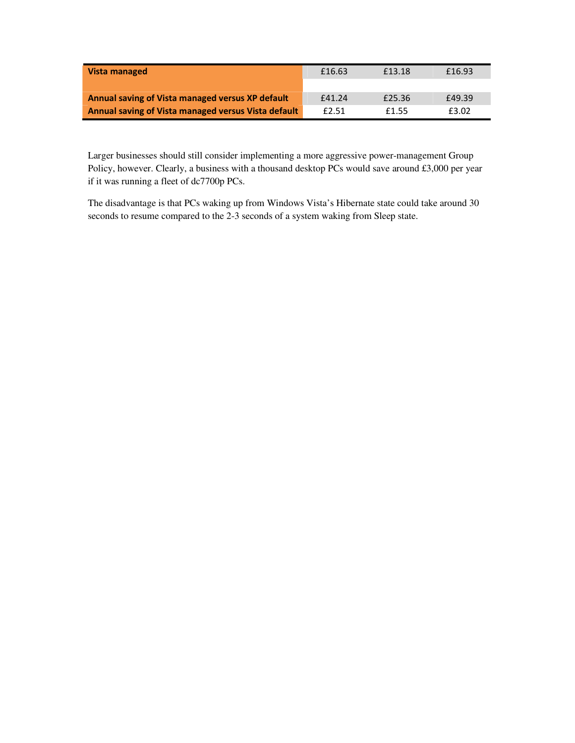| Vista managed                                       | £16.63 | £13.18 | £16.93 |
|-----------------------------------------------------|--------|--------|--------|
|                                                     |        |        |        |
| Annual saving of Vista managed versus XP default    | £41.24 | £25.36 | £49.39 |
| Annual saving of Vista managed versus Vista default | £2.51  | f1.55  | £3.02  |

Larger businesses should still consider implementing a more aggressive power-management Group Policy, however. Clearly, a business with a thousand desktop PCs would save around £3,000 per year if it was running a fleet of dc7700p PCs.

The disadvantage is that PCs waking up from Windows Vista's Hibernate state could take around 30 seconds to resume compared to the 2-3 seconds of a system waking from Sleep state.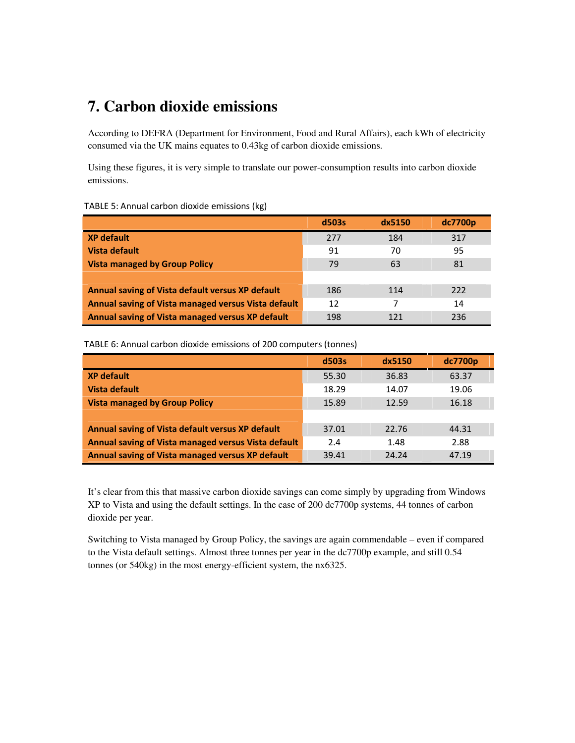### **7. Carbon dioxide emissions**

According to DEFRA (Department for Environment, Food and Rural Affairs), each kWh of electricity consumed via the UK mains equates to 0.43kg of carbon dioxide emissions.

Using these figures, it is very simple to translate our power-consumption results into carbon dioxide emissions.

| TABLE 5: Annual carbon dioxide emissions (kg) |  |  |
|-----------------------------------------------|--|--|
|                                               |  |  |

|                                                     | d503s | dx5150 | dc7700p |
|-----------------------------------------------------|-------|--------|---------|
| <b>XP</b> default                                   | 277   | 184    | 317     |
| Vista default                                       | 91    | 70     | 95      |
| <b>Vista managed by Group Policy</b>                | 79    | 63     | 81      |
|                                                     |       |        |         |
| Annual saving of Vista default versus XP default    | 186   | 114    | 222     |
| Annual saving of Vista managed versus Vista default | 12    |        | 14      |
| Annual saving of Vista managed versus XP default    | 198   | 121    | 236     |

TABLE 6: Annual carbon dioxide emissions of 200 computers (tonnes)

|                                                     | d503s | dx5150 | dc7700p |
|-----------------------------------------------------|-------|--------|---------|
| <b>XP default</b>                                   | 55.30 | 36.83  | 63.37   |
| Vista default                                       | 18.29 | 14.07  | 19.06   |
| <b>Vista managed by Group Policy</b>                | 15.89 | 12.59  | 16.18   |
|                                                     |       |        |         |
| Annual saving of Vista default versus XP default    | 37.01 | 22.76  | 44.31   |
| Annual saving of Vista managed versus Vista default | 2.4   | 1.48   | 2.88    |
| Annual saving of Vista managed versus XP default    | 39.41 | 24.24  | 47.19   |

It's clear from this that massive carbon dioxide savings can come simply by upgrading from Windows XP to Vista and using the default settings. In the case of 200 dc7700p systems, 44 tonnes of carbon dioxide per year.

Switching to Vista managed by Group Policy, the savings are again commendable – even if compared to the Vista default settings. Almost three tonnes per year in the dc7700p example, and still 0.54 tonnes (or 540kg) in the most energy-efficient system, the nx6325.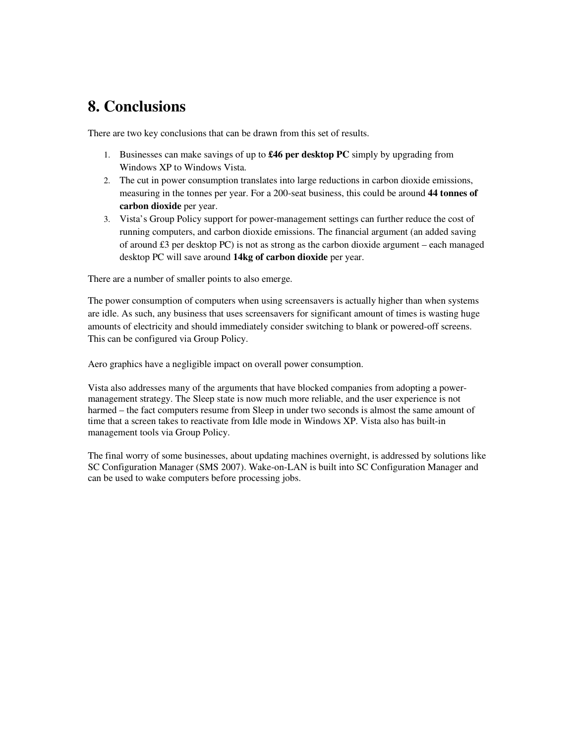### **8. Conclusions**

There are two key conclusions that can be drawn from this set of results.

- 1. Businesses can make savings of up to **£46 per desktop PC** simply by upgrading from Windows XP to Windows Vista.
- 2. The cut in power consumption translates into large reductions in carbon dioxide emissions, measuring in the tonnes per year. For a 200-seat business, this could be around **44 tonnes of carbon dioxide** per year.
- 3. Vista's Group Policy support for power-management settings can further reduce the cost of running computers, and carbon dioxide emissions. The financial argument (an added saving of around  $\pounds 3$  per desktop PC) is not as strong as the carbon dioxide argument – each managed desktop PC will save around **14kg of carbon dioxide** per year.

There are a number of smaller points to also emerge.

The power consumption of computers when using screensavers is actually higher than when systems are idle. As such, any business that uses screensavers for significant amount of times is wasting huge amounts of electricity and should immediately consider switching to blank or powered-off screens. This can be configured via Group Policy.

Aero graphics have a negligible impact on overall power consumption.

Vista also addresses many of the arguments that have blocked companies from adopting a powermanagement strategy. The Sleep state is now much more reliable, and the user experience is not harmed – the fact computers resume from Sleep in under two seconds is almost the same amount of time that a screen takes to reactivate from Idle mode in Windows XP. Vista also has built-in management tools via Group Policy.

The final worry of some businesses, about updating machines overnight, is addressed by solutions like SC Configuration Manager (SMS 2007). Wake-on-LAN is built into SC Configuration Manager and can be used to wake computers before processing jobs.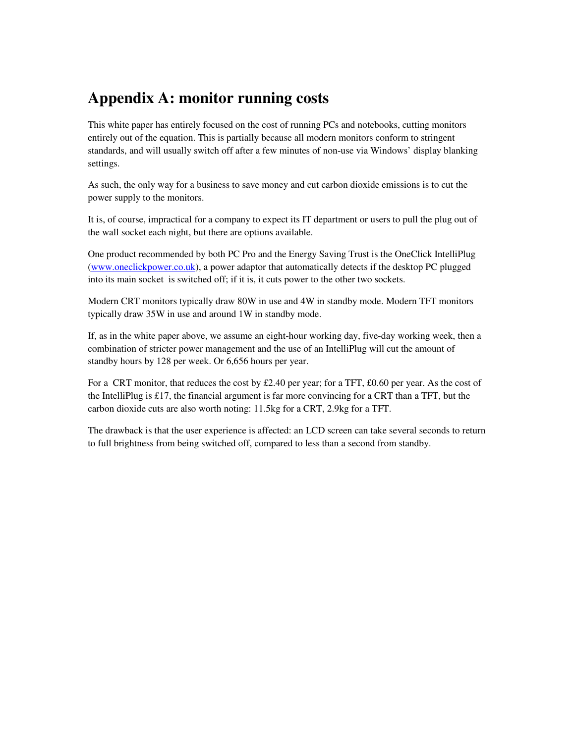### **Appendix A: monitor running costs**

This white paper has entirely focused on the cost of running PCs and notebooks, cutting monitors entirely out of the equation. This is partially because all modern monitors conform to stringent standards, and will usually switch off after a few minutes of non-use via Windows' display blanking settings.

As such, the only way for a business to save money and cut carbon dioxide emissions is to cut the power supply to the monitors.

It is, of course, impractical for a company to expect its IT department or users to pull the plug out of the wall socket each night, but there are options available.

One product recommended by both PC Pro and the Energy Saving Trust is the OneClick IntelliPlug (www.oneclickpower.co.uk), a power adaptor that automatically detects if the desktop PC plugged into its main socket is switched off; if it is, it cuts power to the other two sockets.

Modern CRT monitors typically draw 80W in use and 4W in standby mode. Modern TFT monitors typically draw 35W in use and around 1W in standby mode.

If, as in the white paper above, we assume an eight-hour working day, five-day working week, then a combination of stricter power management and the use of an IntelliPlug will cut the amount of standby hours by 128 per week. Or 6,656 hours per year.

For a CRT monitor, that reduces the cost by £2.40 per year; for a TFT, £0.60 per year. As the cost of the Intelliplug is £17, the financial argument is far more convincing for a CRT than a TFT, but the carbon dioxide cuts are also worth noting: 11.5kg for a CRT, 2.9kg for a TFT.

The drawback is that the user experience is affected: an LCD screen can take several seconds to return to full brightness from being switched off, compared to less than a second from standby.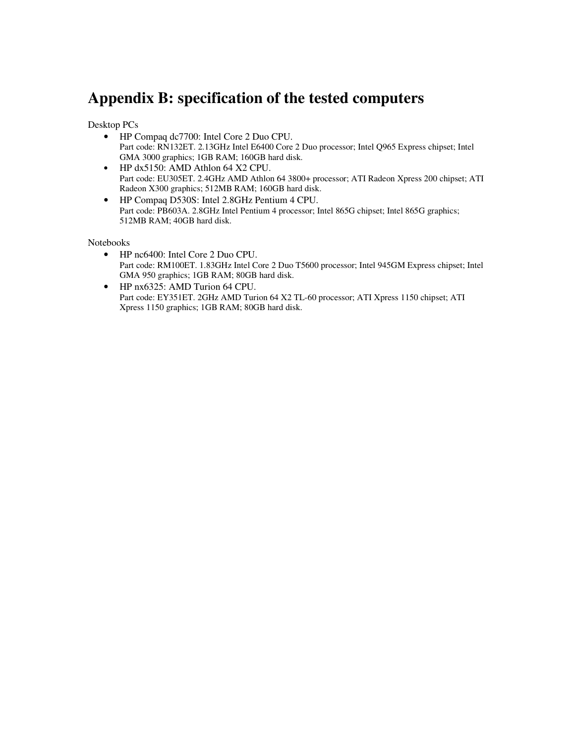### **Appendix B: specification of the tested computers**

Desktop PCs

- HP Compaq dc7700: Intel Core 2 Duo CPU. Part code: RN132ET. 2.13GHz Intel E6400 Core 2 Duo processor; Intel Q965 Express chipset; Intel GMA 3000 graphics; 1GB RAM; 160GB hard disk.
- HP dx5150: AMD Athlon 64 X2 CPU. Part code: EU305ET. 2.4GHz AMD Athlon 64 3800+ processor; ATI Radeon Xpress 200 chipset; ATI Radeon X300 graphics; 512MB RAM; 160GB hard disk.
- HP Compaq D530S: Intel 2.8GHz Pentium 4 CPU. Part code: PB603A. 2.8GHz Intel Pentium 4 processor; Intel 865G chipset; Intel 865G graphics; 512MB RAM; 40GB hard disk.

Notebooks

- HP nc6400: Intel Core 2 Duo CPU. Part code: RM100ET. 1.83GHz Intel Core 2 Duo T5600 processor; Intel 945GM Express chipset; Intel GMA 950 graphics; 1GB RAM; 80GB hard disk.
- HP nx6325: AMD Turion 64 CPU. Part code: EY351ET. 2GHz AMD Turion 64 X2 TL-60 processor; ATI Xpress 1150 chipset; ATI Xpress 1150 graphics; 1GB RAM; 80GB hard disk.